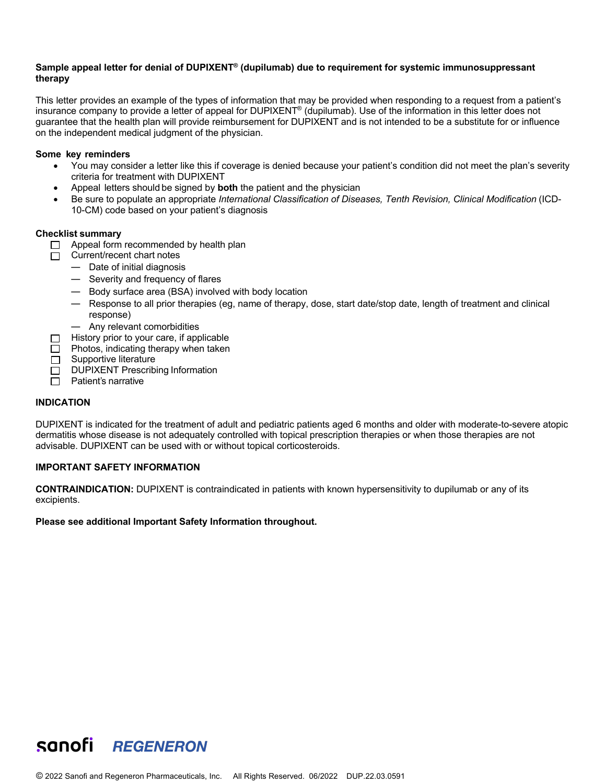# **Sample appeal letter for denial of DUPIXENT® (dupilumab) due to requirement for systemic immunosuppressant therapy**

This letter provides an example of the types of information that may be provided when responding to a request from a patient's insurance company to provide a letter of appeal for DUPIXENT® (dupilumab). Use of the information in this letter does not guarantee that the health plan will provide reimbursement for DUPIXENT and is not intended to be a substitute for or influence on the independent medical judgment of the physician.

# **Some key reminders**

- You may consider a letter like this if coverage is denied because your patient's condition did not meet the plan's severity criteria for treatment with DUPIXENT
- Appeal letters should be signed by **both** the patient and the physician
- Be sure to populate an appropriate *International Classification of Diseases, Tenth Revision, Clinical Modification* (ICD-10-CM) code based on your patient's diagnosis

## **Checklist summary**

- $\Box$  Appeal form recommended by health plan
- $\Box$  Current/recent chart notes
	- Date of initial diagnosis
	- Severity and frequency of flares
	- Body surface area (BSA) involved with body location
	- Response to all prior therapies (eg, name of therapy, dose, start date/stop date, length of treatment and clinical response)
	- Any relevant comorbidities
- History prior to your care, if applicable □
- $\Box$  Photos, indicating therapy when taken
- $\Box$  Supportive literature
- DUPIXENT Prescribing Information  $\Box$
- $\Box$  Patient's narrative

## **INDICATION**

DUPIXENT is indicated for the treatment of adult and pediatric patients aged 6 months and older with moderate-to-severe atopic dermatitis whose disease is not adequately controlled with topical prescription therapies or when those therapies are not advisable. DUPIXENT can be used with or without topical corticosteroids.

## **IMPORTANT SAFETY INFORMATION**

**CONTRAINDICATION:** DUPIXENT is contraindicated in patients with known hypersensitivity to dupilumab or any of its excipients.

## **Please see additional Important Safety Information throughout.**

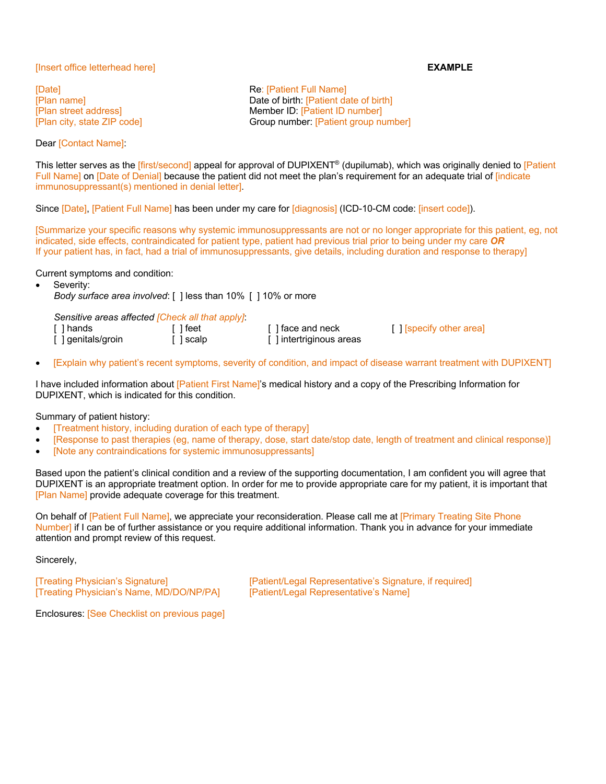# [Insert office letterhead here] **EXAMPLE**

[Date] **Re:** [Patient Full Name]

Dear [Contact Name]:

[Plan name] Date of birth: [Patient date of birth] [Plan street address] Member ID: [Patient ID number] [Plan city, state ZIP code] Group number: [Patient group number]

This letter serves as the *[first/second]* appeal for approval of DUPIXENT<sup>®</sup> (dupilumab), which was originally denied to *[Patient* Full Name] on [Date of Denial] because the patient did not meet the plan's requirement for an adequate trial of [indicate immunosuppressant(s) mentioned in denial letter].

Since [Date], [Patient Full Name] has been under my care for [diagnosis] (ICD-10-CM code: [insert code]).

[Summarize your specific reasons why systemic immunosuppressants are not or no longer appropriate for this patient, eg, not indicated, side effects, contraindicated for patient type, patient had previous trial prior to being under my care *OR* If your patient has, in fact, had a trial of immunosuppressants, give details, including duration and response to therapy]

Current symptoms and condition:

Severity:

*Body surface area involved*: [ ] less than 10% [ ] 10% or more

*Sensitive areas affected [Check all that apply]*:

| [ ] hands          | [ ] feet  | [ ] face and neck       | [ ] [specify other area] |
|--------------------|-----------|-------------------------|--------------------------|
| [ ] genitals/groin | f 1 scalp | [] intertriginous areas |                          |

• [Explain why patient's recent symptoms, severity of condition, and impact of disease warrant treatment with DUPIXENT]

I have included information about [Patient First Name]'s medical history and a copy of the Prescribing Information for DUPIXENT, which is indicated for this condition.

# Summary of patient history:

- [Treatment history, including duration of each type of therapy]
- [Response to past therapies (eg, name of therapy, dose, start date/stop date, length of treatment and clinical response)]
- [Note any contraindications for systemic immunosuppressants]

Based upon the patient's clinical condition and a review of the supporting documentation, I am confident you will agree that DUPIXENT is an appropriate treatment option. In order for me to provide appropriate care for my patient, it is important that [Plan Name] provide adequate coverage for this treatment.

On behalf of [Patient Full Name], we appreciate your reconsideration. Please call me at [Primary Treating Site Phone Number] if I can be of further assistance or you require additional information. Thank you in advance for your immediate attention and prompt review of this request.

Sincerely,

[Treating Physician's Name, MD/DO/NP/PA] [Patient/Legal Representative's Name]

[Treating Physician's Signature] [Patient/Legal Representative's Signature, if required]

Enclosures: [See Checklist on previous page]